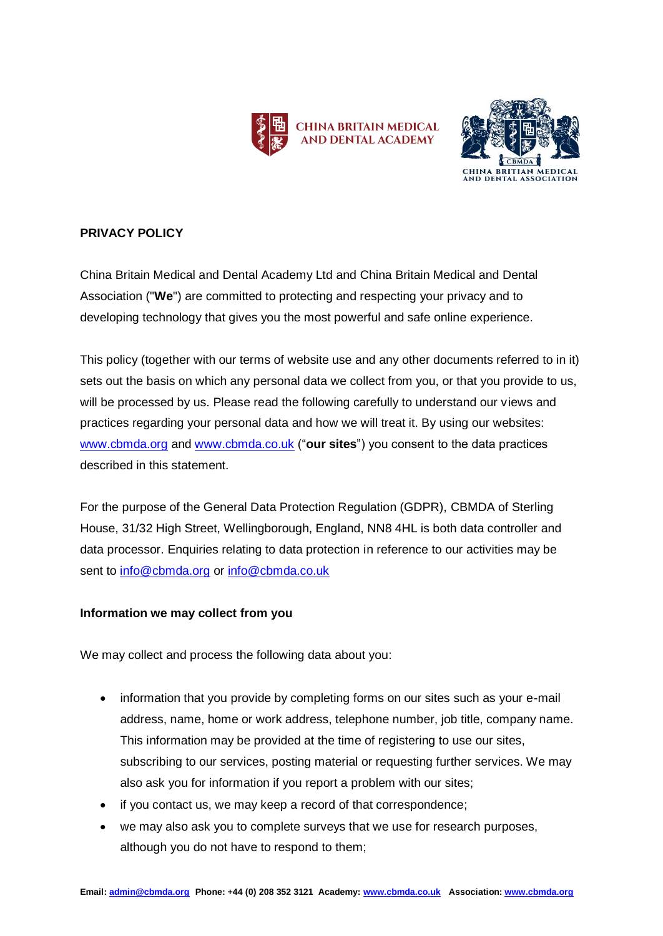



# **PRIVACY POLICY**

China Britain Medical and Dental Academy Ltd and China Britain Medical and Dental Association ("**We**") are committed to protecting and respecting your privacy and to developing technology that gives you the most powerful and safe online experience.

This policy (together with our terms of website use and any other documents referred to in it) sets out the basis on which any personal data we collect from you, or that you provide to us, will be processed by us. Please read the following carefully to understand our views and practices regarding your personal data and how we will treat it. By using our websites: [www.cbmda.org](http://www.cbmda.org/) and [www.cbmda.co.uk](http://www.cbmda.co.uk/) ("**our sites**") you consent to the data practices described in this statement.

For the purpose of the General Data Protection Regulation (GDPR), CBMDA of Sterling House, 31/32 High Street, Wellingborough, England, NN8 4HL is both data controller and data processor. Enquiries relating to data protection in reference to our activities may be sent to [info@cbmda.org](mailto:info@cbmda.org) or [info@cbmda.co.uk](mailto:info@cbmda.co.uk)

## **Information we may collect from you**

We may collect and process the following data about you:

- information that you provide by completing forms on our sites such as your e-mail address, name, home or work address, telephone number, job title, company name. This information may be provided at the time of registering to use our sites, subscribing to our services, posting material or requesting further services. We may also ask you for information if you report a problem with our sites;
- if you contact us, we may keep a record of that correspondence;
- we may also ask you to complete surveys that we use for research purposes, although you do not have to respond to them;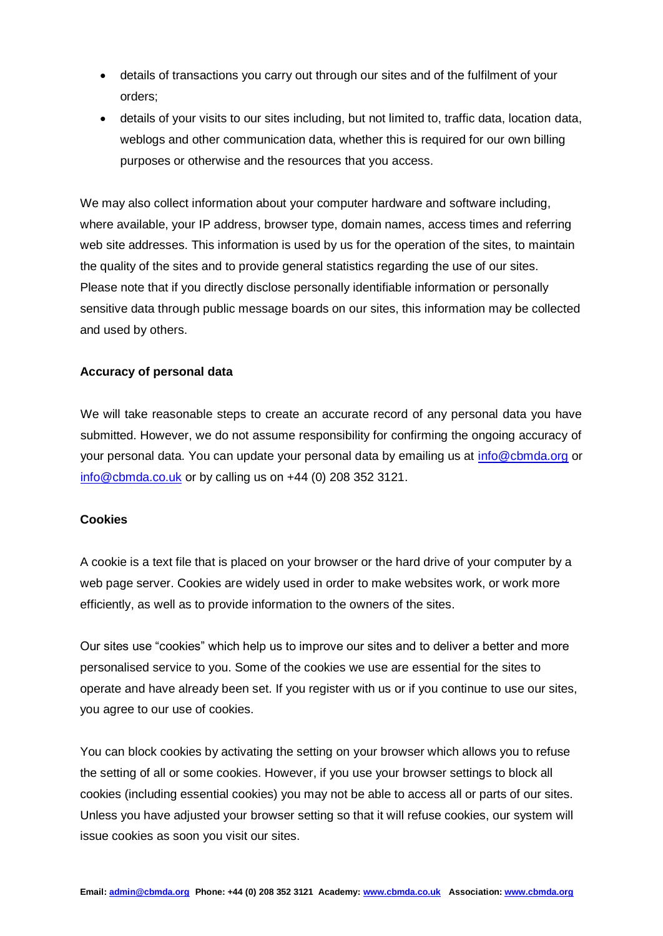- details of transactions you carry out through our sites and of the fulfilment of your orders;
- details of your visits to our sites including, but not limited to, traffic data, location data, weblogs and other communication data, whether this is required for our own billing purposes or otherwise and the resources that you access.

We may also collect information about your computer hardware and software including, where available, your IP address, browser type, domain names, access times and referring web site addresses. This information is used by us for the operation of the sites, to maintain the quality of the sites and to provide general statistics regarding the use of our sites. Please note that if you directly disclose personally identifiable information or personally sensitive data through public message boards on our sites, this information may be collected and used by others.

## **Accuracy of personal data**

We will take reasonable steps to create an accurate record of any personal data you have submitted. However, we do not assume responsibility for confirming the ongoing accuracy of your personal data. You can update your personal data by emailing us at [info@cbmda.org](mailto:info@cbmda.org) or [info@cbmda.co.uk](mailto:info@cbmda.co.uk) or by calling us on +44 (0) 208 352 3121.

### **Cookies**

A cookie is a text file that is placed on your browser or the hard drive of your computer by a web page server. Cookies are widely used in order to make websites work, or work more efficiently, as well as to provide information to the owners of the sites.

Our sites use "cookies" which help us to improve our sites and to deliver a better and more personalised service to you. Some of the cookies we use are essential for the sites to operate and have already been set. If you register with us or if you continue to use our sites, you agree to our use of cookies.

You can block cookies by activating the setting on your browser which allows you to refuse the setting of all or some cookies. However, if you use your browser settings to block all cookies (including essential cookies) you may not be able to access all or parts of our sites. Unless you have adjusted your browser setting so that it will refuse cookies, our system will issue cookies as soon you visit our sites.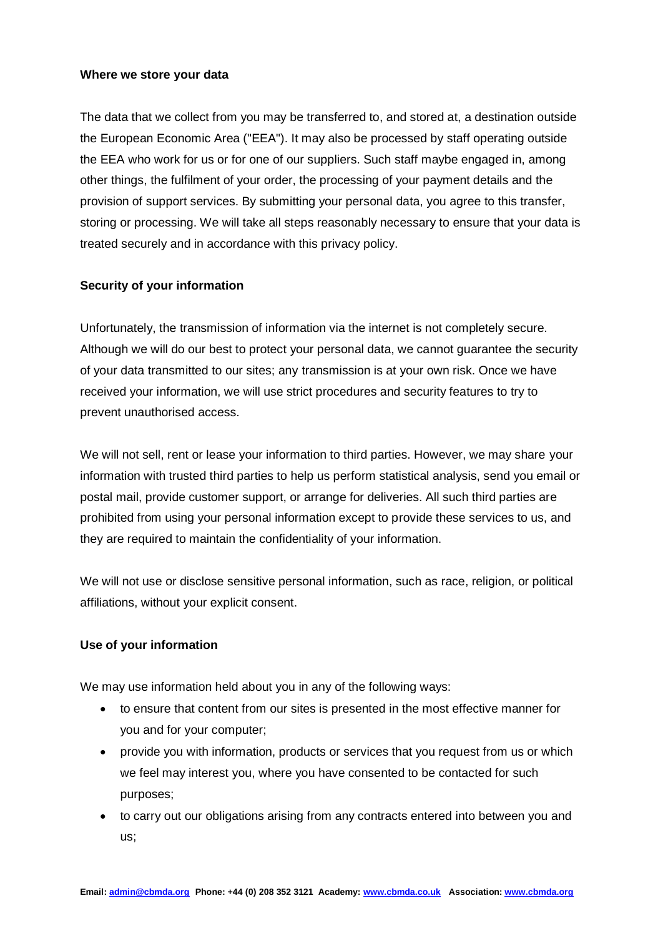#### **Where we store your data**

The data that we collect from you may be transferred to, and stored at, a destination outside the European Economic Area ("EEA"). It may also be processed by staff operating outside the EEA who work for us or for one of our suppliers. Such staff maybe engaged in, among other things, the fulfilment of your order, the processing of your payment details and the provision of support services. By submitting your personal data, you agree to this transfer, storing or processing. We will take all steps reasonably necessary to ensure that your data is treated securely and in accordance with this privacy policy.

### **Security of your information**

Unfortunately, the transmission of information via the internet is not completely secure. Although we will do our best to protect your personal data, we cannot guarantee the security of your data transmitted to our sites; any transmission is at your own risk. Once we have received your information, we will use strict procedures and security features to try to prevent unauthorised access.

We will not sell, rent or lease your information to third parties. However, we may share your information with trusted third parties to help us perform statistical analysis, send you email or postal mail, provide customer support, or arrange for deliveries. All such third parties are prohibited from using your personal information except to provide these services to us, and they are required to maintain the confidentiality of your information.

We will not use or disclose sensitive personal information, such as race, religion, or political affiliations, without your explicit consent.

#### **Use of your information**

We may use information held about you in any of the following ways:

- to ensure that content from our sites is presented in the most effective manner for you and for your computer;
- provide you with information, products or services that you request from us or which we feel may interest you, where you have consented to be contacted for such purposes;
- to carry out our obligations arising from any contracts entered into between you and us;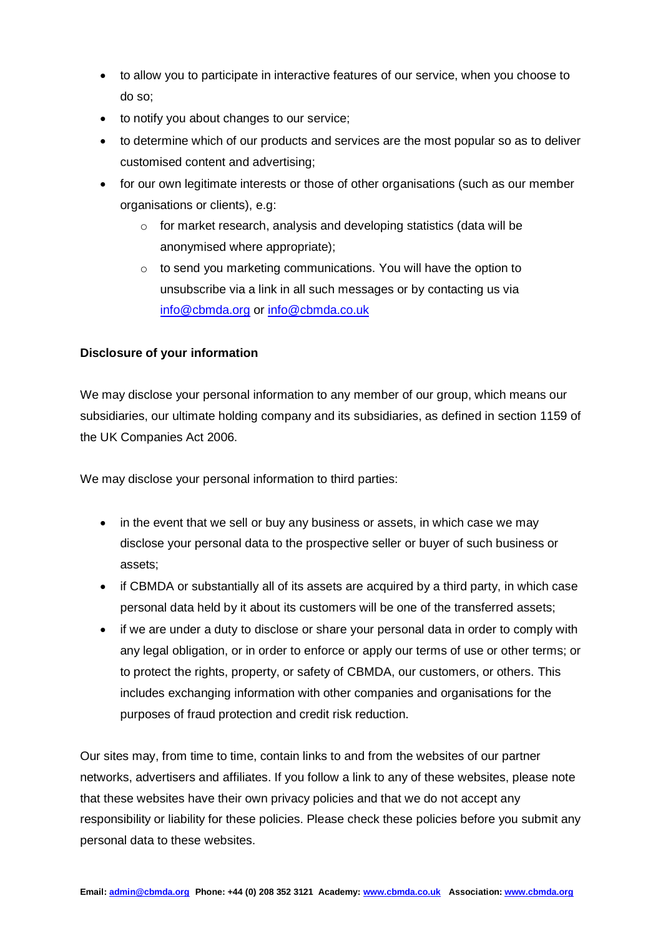- to allow you to participate in interactive features of our service, when you choose to do so;
- to notify you about changes to our service;
- to determine which of our products and services are the most popular so as to deliver customised content and advertising;
- for our own legitimate interests or those of other organisations (such as our member organisations or clients), e.g:
	- o for market research, analysis and developing statistics (data will be anonymised where appropriate);
	- o to send you marketing communications. You will have the option to unsubscribe via a link in all such messages or by contacting us via [info@cbmda.org](mailto:info@cbmda.org) or [info@cbmda.co.uk](mailto:info@cbmda.co.uk)

## **Disclosure of your information**

We may disclose your personal information to any member of our group, which means our subsidiaries, our ultimate holding company and its subsidiaries, as defined in section 1159 of the UK Companies Act 2006.

We may disclose your personal information to third parties:

- in the event that we sell or buy any business or assets, in which case we may disclose your personal data to the prospective seller or buyer of such business or assets;
- if CBMDA or substantially all of its assets are acquired by a third party, in which case personal data held by it about its customers will be one of the transferred assets;
- if we are under a duty to disclose or share your personal data in order to comply with any legal obligation, or in order to enforce or apply our terms of use or other terms; or to protect the rights, property, or safety of CBMDA, our customers, or others. This includes exchanging information with other companies and organisations for the purposes of fraud protection and credit risk reduction.

Our sites may, from time to time, contain links to and from the websites of our partner networks, advertisers and affiliates. If you follow a link to any of these websites, please note that these websites have their own privacy policies and that we do not accept any responsibility or liability for these policies. Please check these policies before you submit any personal data to these websites.